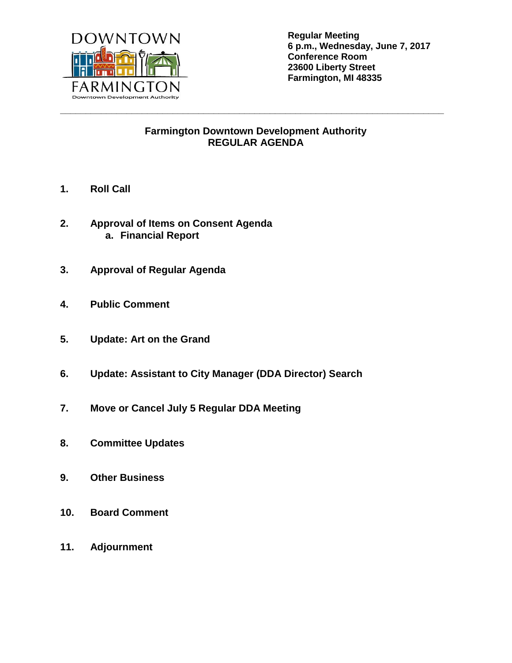

**Regular Meeting 6 p.m., Wednesday, June 7, 2017 Conference Room 23600 Liberty Street Farmington, MI 48335**

## **Farmington Downtown Development Authority REGULAR AGENDA**

**\_\_\_\_\_\_\_\_\_\_\_\_\_\_\_\_\_\_\_\_\_\_\_\_\_\_\_\_\_\_\_\_\_\_\_\_\_\_\_\_\_\_\_\_\_\_\_\_\_\_\_\_\_\_\_\_\_\_\_\_\_\_\_\_\_\_\_\_\_\_\_\_\_\_\_**

- **1. Roll Call**
- **2. Approval of Items on Consent Agenda a. Financial Report**
- **3. Approval of Regular Agenda**
- **4. Public Comment**
- **5. Update: Art on the Grand**
- **6. Update: Assistant to City Manager (DDA Director) Search**
- **7. Move or Cancel July 5 Regular DDA Meeting**
- **8. Committee Updates**
- **9. Other Business**
- **10. Board Comment**
- **11. Adjournment**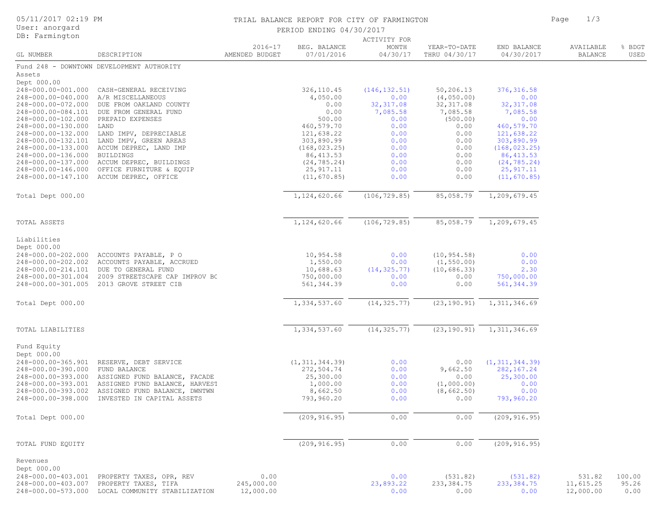| 05/11/2017 02:19 PM                      |                                                                                                   |                               | TRIAL BALANCE REPORT FOR CITY OF FARMINGTON |                        | 1/3<br>Page                   |                            |                             |                |
|------------------------------------------|---------------------------------------------------------------------------------------------------|-------------------------------|---------------------------------------------|------------------------|-------------------------------|----------------------------|-----------------------------|----------------|
| User: anorgard                           |                                                                                                   |                               | PERIOD ENDING 04/30/2017                    |                        |                               |                            |                             |                |
| DB: Farmington                           |                                                                                                   |                               |                                             | ACTIVITY FOR           |                               |                            |                             |                |
| GL NUMBER                                | DESCRIPTION                                                                                       | $2016 - 17$<br>AMENDED BUDGET | BEG. BALANCE<br>07/01/2016                  | MONTH<br>04/30/17      | YEAR-TO-DATE<br>THRU 04/30/17 | END BALANCE<br>04/30/2017  | AVAILABLE<br><b>BALANCE</b> | % BDGT<br>USED |
|                                          | Fund 248 - DOWNTOWN DEVELOPMENT AUTHORITY                                                         |                               |                                             |                        |                               |                            |                             |                |
| Assets                                   |                                                                                                   |                               |                                             |                        |                               |                            |                             |                |
| Dept 000.00                              |                                                                                                   |                               |                                             |                        |                               |                            |                             |                |
| 248-000.00-001.000                       | CASH-GENERAL RECEIVING                                                                            |                               | 326, 110.45                                 | (146, 132.51)          | 50,206.13                     | 376, 316.58                |                             |                |
| 248-000.00-040.000                       | A/R MISCELLANEOUS                                                                                 |                               | 4,050.00                                    | 0.00                   | (4, 050.00)                   | 0.00                       |                             |                |
| 248-000.00-072.000<br>248-000.00-084.101 | DUE FROM OAKLAND COUNTY<br>DUE FROM GENERAL FUND                                                  |                               | 0.00<br>0.00                                | 32, 317.08<br>7,085.58 | 32, 317.08<br>7,085.58        | 32, 317.08<br>7,085.58     |                             |                |
| 248-000.00-102.000                       | PREPAID EXPENSES                                                                                  |                               | 500.00                                      | 0.00                   | (500.00)                      | 0.00                       |                             |                |
| 248-000.00-130.000                       | LAND                                                                                              |                               | 460,579.70                                  | 0.00                   | 0.00                          | 460,579.70                 |                             |                |
| 248-000.00-132.000                       | LAND IMPV, DEPRECIABLE                                                                            |                               | 121,638.22                                  | 0.00                   | 0.00                          | 121,638.22                 |                             |                |
| 248-000.00-132.101                       | LAND IMPV, GREEN AREAS                                                                            |                               | 303,890.99                                  | 0.00                   | 0.00                          | 303,890.99                 |                             |                |
| 248-000.00-133.000                       | ACCUM DEPREC, LAND IMP                                                                            |                               | (168, 023.25)                               | 0.00                   | 0.00                          | (168, 023.25)              |                             |                |
| 248-000.00-136.000                       | <b>BUILDINGS</b>                                                                                  |                               | 86, 413.53                                  | 0.00                   | 0.00                          | 86, 413.53                 |                             |                |
| 248-000.00-137.000<br>248-000.00-146.000 | ACCUM DEPREC, BUILDINGS<br>OFFICE FURNITURE & EQUIP                                               |                               | (24, 785.24)<br>25, 917.11                  | 0.00<br>0.00           | 0.00<br>0.00                  | (24, 785.24)<br>25, 917.11 |                             |                |
| 248-000.00-147.100                       | ACCUM DEPREC, OFFICE                                                                              |                               | (11, 670.85)                                | 0.00                   | 0.00                          | (11, 670.85)               |                             |                |
|                                          |                                                                                                   |                               |                                             |                        |                               |                            |                             |                |
| Total Dept 000.00                        |                                                                                                   |                               | 1,124,620.66                                | (106, 729.85)          | 85,058.79                     | 1,209,679.45               |                             |                |
| TOTAL ASSETS                             |                                                                                                   |                               | 1,124,620.66                                | (106, 729.85)          | 85,058.79                     | 1,209,679.45               |                             |                |
|                                          |                                                                                                   |                               |                                             |                        |                               |                            |                             |                |
| Liabilities                              |                                                                                                   |                               |                                             |                        |                               |                            |                             |                |
| Dept 000.00                              |                                                                                                   |                               |                                             |                        |                               |                            |                             |                |
| 248-000.00-202.000                       | ACCOUNTS PAYABLE, P O                                                                             |                               | 10,954.58                                   | 0.00                   | (10, 954.58)                  | 0.00                       |                             |                |
| 248-000.00-202.002<br>248-000.00-214.101 | ACCOUNTS PAYABLE, ACCRUED<br>DUE TO GENERAL FUND                                                  |                               | 1,550.00<br>10,688.63                       | 0.00<br>(14, 325.77)   | (1, 550.00)<br>(10, 686.33)   | 0.00<br>2.30               |                             |                |
| 248-000.00-301.004                       | 2009 STREETSCAPE CAP IMPROV BC                                                                    |                               | 750,000.00                                  | 0.00                   | 0.00                          | 750,000.00                 |                             |                |
| 248-000.00-301.005                       | 2013 GROVE STREET CIB                                                                             |                               | 561, 344.39                                 | 0.00                   | 0.00                          | 561, 344.39                |                             |                |
| Total Dept 000.00                        |                                                                                                   |                               | 1,334,537.60                                | (14, 325.77)           | (23, 190.91)                  | 1, 311, 346.69             |                             |                |
|                                          |                                                                                                   |                               |                                             |                        |                               |                            |                             |                |
| TOTAL LIABILITIES                        |                                                                                                   |                               | 1,334,537.60                                | (14, 325.77)           | (23, 190.91)                  | 1,311,346.69               |                             |                |
| Fund Equity                              |                                                                                                   |                               |                                             |                        |                               |                            |                             |                |
| Dept 000.00<br>248-000.00-365.901        | RESERVE, DEBT SERVICE                                                                             |                               | (1, 311, 344.39)                            | 0.00                   | 0.00                          | (1, 311, 344.39)           |                             |                |
| 248-000.00-390.000                       | FUND BALANCE                                                                                      |                               | 272,504.74                                  | 0.00                   | 9,662.50                      | 282, 167.24                |                             |                |
| 248-000.00-393.000                       | ASSIGNED FUND BALANCE, FACADE                                                                     |                               | 25,300.00                                   | 0.00                   | 0.00                          | 25,300.00                  |                             |                |
| 248-000.00-393.001                       | ASSIGNED FUND BALANCE, HARVEST                                                                    |                               | 1,000.00                                    | 0.00                   | (1,000.00)                    | 0.00                       |                             |                |
|                                          | 248-000.00-393.002 ASSIGNED FUND BALANCE, DWNTWN<br>248-000.00-398.000 INVESTED IN CAPITAL ASSETS |                               | 8,662.50<br>793,960.20                      | 0.00<br>0.00           | (8,662.50)<br>0.00            | 0.00<br>793,960.20         |                             |                |
|                                          |                                                                                                   |                               |                                             |                        |                               |                            |                             |                |
| Total Dept 000.00                        |                                                                                                   |                               | (209, 916.95)                               | 0.00                   | 0.00                          | (209, 916.95)              |                             |                |
| TOTAL FUND EQUITY                        |                                                                                                   |                               | (209, 916.95)                               | 0.00                   | 0.00                          | (209, 916.95)              |                             |                |
|                                          |                                                                                                   |                               |                                             |                        |                               |                            |                             |                |
| Revenues<br>Dept 000.00                  |                                                                                                   |                               |                                             |                        |                               |                            |                             |                |
| 248-000.00-403.001                       | PROPERTY TAXES, OPR, REV                                                                          | 0.00                          |                                             | 0.00                   | (531.82)                      | (531.82)                   | 531.82                      | 100.00         |
|                                          | 248-000.00-403.007 PROPERTY TAXES, TIFA<br>248-000.00-573.000 LOCAL COMMUNITY STABILIZATION       | 245,000.00<br>12,000.00       |                                             | 23,893.22<br>0.00      | 233, 384.75<br>0.00           | 233, 384.75<br>0.00        | 11,615.25<br>12,000.00      | 95.26<br>0.00  |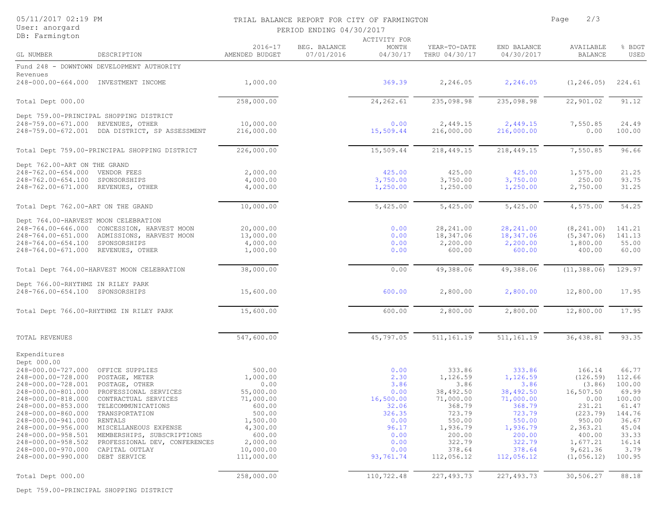| 05/11/2017 02:19 PM<br>User: anorgard |                                                |                          | TRIAL BALANCE REPORT FOR CITY OF FARMINGTON | 2/3<br>Page         |               |             |                |        |
|---------------------------------------|------------------------------------------------|--------------------------|---------------------------------------------|---------------------|---------------|-------------|----------------|--------|
|                                       |                                                | PERIOD ENDING 04/30/2017 |                                             |                     |               |             |                |        |
| DB: Farmington                        |                                                |                          |                                             | <b>ACTIVITY FOR</b> |               |             |                |        |
|                                       |                                                | $2016 - 17$              | BEG. BALANCE                                | MONTH               | YEAR-TO-DATE  | END BALANCE | AVAILABLE      | % BDGT |
| GL NUMBER                             | DESCRIPTION                                    | AMENDED BUDGET           | 07/01/2016                                  | 04/30/17            | THRU 04/30/17 | 04/30/2017  | <b>BALANCE</b> | USED   |
|                                       | Fund 248 - DOWNTOWN DEVELOPMENT AUTHORITY      |                          |                                             |                     |               |             |                |        |
| Revenues                              |                                                |                          |                                             |                     |               |             |                |        |
|                                       | 248-000.00-664.000 INVESTMENT INCOME           | 1,000.00                 |                                             | 369.39              | 2,246.05      | 2,246.05    | (1, 246.05)    | 224.61 |
|                                       |                                                |                          |                                             |                     |               |             |                |        |
| Total Dept 000.00                     |                                                | 258,000.00               |                                             | 24, 262.61          | 235,098.98    | 235,098.98  | 22,901.02      | 91.12  |
|                                       | Dept 759.00-PRINCIPAL SHOPPING DISTRICT        |                          |                                             |                     |               |             |                |        |
| 248-759.00-671.000 REVENUES, OTHER    |                                                | 10,000.00                |                                             | 0.00                | 2,449.15      | 2,449.15    | 7,550.85       | 24.49  |
|                                       | 248-759.00-672.001 DDA DISTRICT, SP ASSESSMENT | 216,000.00               |                                             | 15,509.44           | 216,000.00    | 216,000.00  | 0.00           | 100.00 |
|                                       | Total Dept 759.00-PRINCIPAL SHOPPING DISTRICT  | 226,000.00               |                                             | 15,509.44           | 218,449.15    | 218,449.15  | 7,550.85       | 96.66  |
|                                       |                                                |                          |                                             |                     |               |             |                |        |
| Dept 762.00-ART ON THE GRAND          |                                                |                          |                                             |                     |               |             |                |        |
| 248-762.00-654.000                    | VENDOR FEES                                    | 2,000.00                 |                                             | 425.00              | 425.00        | 425.00      | 1,575.00       | 21.25  |
| 248-762.00-654.100                    | SPONSORSHIPS                                   | 4,000.00                 |                                             | 3,750.00            | 3,750.00      | 3,750.00    | 250.00         | 93.75  |
| 248-762.00-671.000                    | REVENUES, OTHER                                | 4,000.00                 |                                             | 1,250.00            | 1,250.00      | 1,250.00    | 2,750.00       | 31.25  |
| Total Dept 762.00-ART ON THE GRAND    |                                                | 10,000.00                |                                             | 5,425.00            | 5,425.00      | 5,425.00    | 4,575.00       | 54.25  |
| Dept 764.00-HARVEST MOON CELEBRATION  |                                                |                          |                                             |                     |               |             |                |        |
| 248-764.00-646.000                    | CONCESSION, HARVEST MOON                       | 20,000.00                |                                             | 0.00                | 28, 241.00    | 28, 241.00  | (8, 241.00)    | 141.21 |
| 248-764.00-651.000                    | ADMISSIONS, HARVEST MOON                       | 13,000.00                |                                             | 0.00                | 18,347.06     | 18,347.06   | (5, 347.06)    | 141.13 |
| 248-764.00-654.100                    | SPONSORSHIPS                                   | 4,000.00                 |                                             | 0.00                | 2,200.00      | 2,200.00    | 1,800.00       | 55.00  |
| 248-764.00-671.000                    | REVENUES, OTHER                                | 1,000.00                 |                                             | 0.00                | 600.00        | 600.00      | 400.00         | 60.00  |
|                                       |                                                |                          |                                             |                     |               |             |                |        |
|                                       | Total Dept 764.00-HARVEST MOON CELEBRATION     | 38,000.00                |                                             | 0.00                | 49,388.06     | 49,388.06   | (11, 388.06)   | 129.97 |
| Dept 766.00-RHYTHMZ IN RILEY PARK     |                                                |                          |                                             |                     |               |             |                |        |
| 248-766.00-654.100 SPONSORSHIPS       |                                                | 15,600.00                |                                             | 600.00              | 2,800.00      | 2,800.00    | 12,800.00      | 17.95  |
|                                       | Total Dept 766.00-RHYTHMZ IN RILEY PARK        | 15,600.00                |                                             | 600.00              | 2,800.00      | 2,800.00    | 12,800.00      | 17.95  |
|                                       |                                                |                          |                                             |                     |               |             |                |        |
| TOTAL REVENUES                        |                                                | 547,600.00               |                                             | 45,797.05           | 511, 161.19   | 511, 161.19 | 36,438.81      | 93.35  |
|                                       |                                                |                          |                                             |                     |               |             |                |        |
| Expenditures<br>Dept 000.00           |                                                |                          |                                             |                     |               |             |                |        |
| 248-000.00-727.000                    | OFFICE SUPPLIES                                | 500.00                   |                                             | 0.00                | 333.86        | 333.86      | 166.14         | 66.77  |
| 248-000.00-728.000                    | POSTAGE, METER                                 | 1,000.00                 |                                             | 2.30                | 1,126.59      | 1,126.59    | (126.59)       | 112.66 |
| 248-000.00-728.001                    | POSTAGE, OTHER                                 | 0.00                     |                                             | 3.86                | 3.86          | 3.86        | (3.86)         | 100.00 |
| 248-000.00-801.000                    | PROFESSIONAL SERVICES                          | 55,000.00                |                                             | 0.00                | 38,492.50     | 38,492.50   | 16,507.50      | 69.99  |
| 248-000.00-818.000                    | CONTRACTUAL SERVICES                           | 71,000.00                |                                             | 16,500.00           | 71,000.00     | 71,000.00   | 0.00           | 100.00 |
| 248-000.00-853.000                    | TELECOMMUNICATIONS                             | 600.00                   |                                             | 32.06               | 368.79        | 368.79      | 231.21         | 61.47  |
| 248-000.00-860.000                    | TRANSPORTATION                                 | 500.00                   |                                             | 326.35              | 723.79        | 723.79      | (223.79)       | 144.76 |
| 248-000.00-941.000                    | RENTALS                                        | 1,500.00                 |                                             | 0.00                | 550.00        | 550.00      | 950.00         | 36.67  |
| 248-000.00-956.000                    | MISCELLANEOUS EXPENSE                          | 4,300.00                 |                                             | 96.17               | 1,936.79      | 1,936.79    | 2,363.21       | 45.04  |
| 248-000.00-958.501                    | MEMBERSHIPS, SUBSCRIPTIONS                     | 600.00                   |                                             | 0.00                | 200.00        | 200.00      | 400.00         | 33.33  |
| 248-000.00-958.502                    | PROFESSIONAL DEV, CONFERENCES                  | 2,000.00                 |                                             | 0.00                | 322.79        | 322.79      | 1,677.21       | 16.14  |
| 248-000.00-970.000                    | CAPITAL OUTLAY                                 | 10,000.00                |                                             | 0.00                | 378.64        | 378.64      | 9,621.36       | 3.79   |
| 248-000.00-990.000                    | DEBT SERVICE                                   | 111,000.00               |                                             | 93,761.74           | 112,056.12    | 112,056.12  | (1, 056.12)    | 100.95 |
|                                       |                                                |                          |                                             |                     |               |             |                |        |
| Total Dept 000.00                     |                                                | 258,000.00               |                                             | 110,722.48          | 227, 493.73   | 227, 493.73 | 30,506.27      | 88.18  |

Dept 759.00-PRINCIPAL SHOPPING DISTRICT